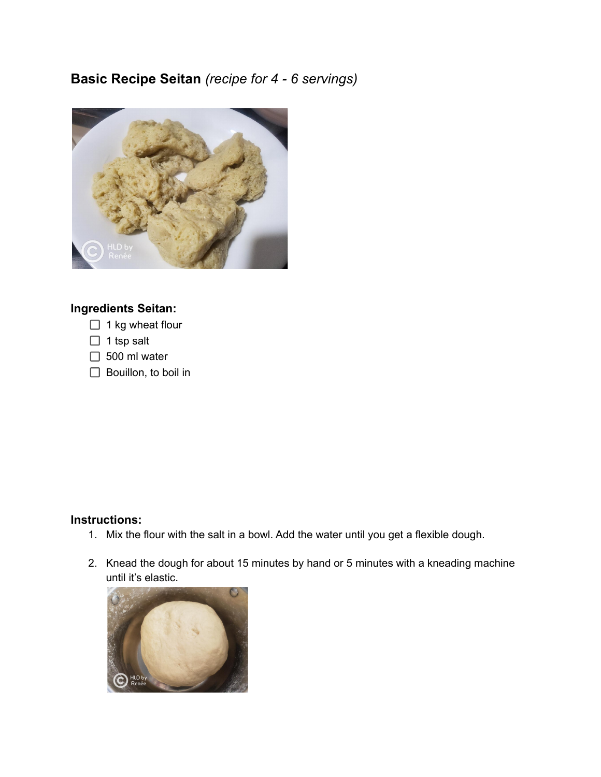## **Basic Recipe Seitan** *(recipe for 4 - 6 servings)*



## **Ingredients Seitan:**

- $\Box$  1 kg wheat flour
- $\Box$  1 tsp salt
- $\Box$  500 ml water
- $\Box$  Bouillon, to boil in

## **Instructions:**

- 1. Mix the flour with the salt in a bowl. Add the water until you get a flexible dough.
- 2. Knead the dough for about 15 minutes by hand or 5 minutes with a kneading machine until it's elastic.